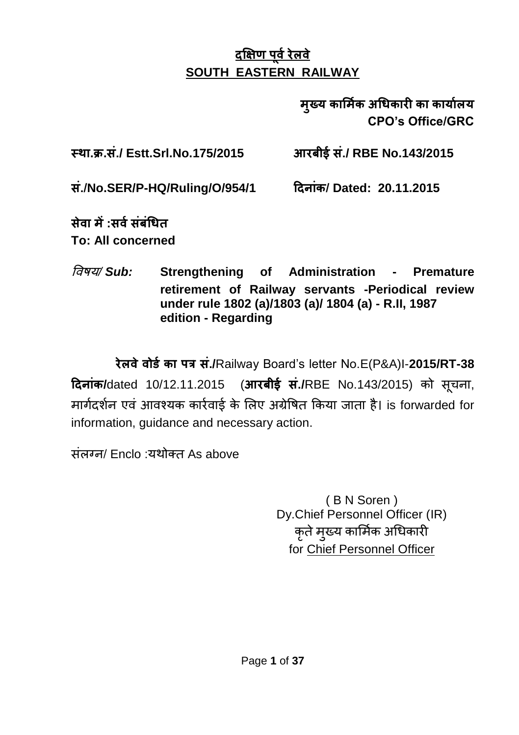# **दक्षऺण ऩूर्वरेऱर्े SOUTH EASTERN RAILWAY**

 **मुख्य कार्मवक अधधकारी का कायावऱय CPO's Office/GRC**

**स्था.क्र.सं./ Estt.Srl.No.175/2015 आरबीई सं./ RBE No.143/2015** 

**सं./No.SER/P-HQ/Ruling/O/954/1 ददनांक/ Dated: 20.11.2015**

**सेर्ा में:सर्वसंबंधधत To: All concerned**

विषय*/ Sub:* **Strengthening of Administration - Premature retirement of Railway servants -Periodical review under rule 1802 (a)/1803 (a)/ 1804 (a) - R.II, 1987 edition - Regarding**

**रेऱर्ेर्ोर्वका ऩत्र सं./**Railway Board"s letter No.E(P&A)I-**2015/RT-38 ददनांक/**dated 10/12.11.2015 (**आरबीई सं./**RBE No.143/2015) को सूचना, मार्गदर्शन एवं आवश्यक कार्रवार्ड के लिए अग्रेषित किया जाता है। is forwarded for information, guidance and necessary action.

संऱग्न/ Enclo :यथोक्त As above

( B N Soren ) Dy.Chief Personnel Officer (IR) कृते मुख्य कार्मिक अधिकारी for Chief Personnel Officer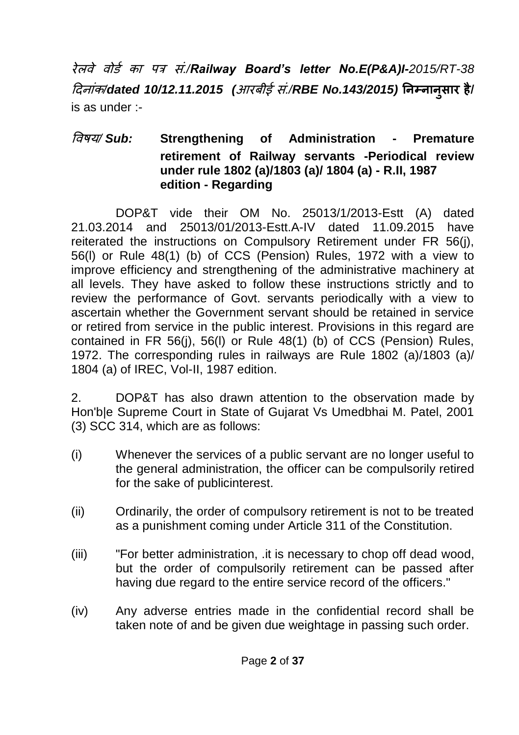रेऱिे िोर्ग का ऩत्र सं*./Railway Board's letter No.E(P&A)I-2015/RT-38* ददनांक*/dated 10/12.11.2015 (*आरबीई सं*./RBE No.143/2015)* **ननम्नानुसार है/** is as under :-

# विषय*/ Sub:* **Strengthening of Administration - Premature retirement of Railway servants -Periodical review under rule 1802 (a)/1803 (a)/ 1804 (a) - R.II, 1987 edition - Regarding**

DOP&T vide their OM No. 25013/1/2013-Estt (A) dated 21.03.2014 and 25013/01/2013-Estt.A-IV dated 11.09.2015 have reiterated the instructions on Compulsory Retirement under FR 56(j), 56(l) or Rule 48(1) (b) of CCS (Pension) Rules, 1972 with a view to improve efficiency and strengthening of the administrative machinery at all levels. They have asked to follow these instructions strictly and to review the performance of Govt. servants periodically with a view to ascertain whether the Government servant should be retained in service or retired from service in the public interest. Provisions in this regard are contained in FR 56(j), 56(l) or Rule 48(1) (b) of CCS (Pension) Rules, 1972. The corresponding rules in railways are Rule 1802 (a)/1803 (a)/ 1804 (a) of IREC, Vol-II, 1987 edition.

2. DOP&T has also drawn attention to the observation made by Hon'b|e Supreme Court in State of Gujarat Vs Umedbhai M. Patel, 2001 (3) SCC 314, which are as follows:

- (i) Whenever the services of a public servant are no longer useful to the general administration, the officer can be compulsorily retired for the sake of publicinterest.
- (ii) Ordinarily, the order of compulsory retirement is not to be treated as a punishment coming under Article 311 of the Constitution.
- (iii) "For better administration, .it is necessary to chop off dead wood, but the order of compulsorily retirement can be passed after having due regard to the entire service record of the officers."
- (iv) Any adverse entries made in the confidential record shall be taken note of and be given due weightage in passing such order.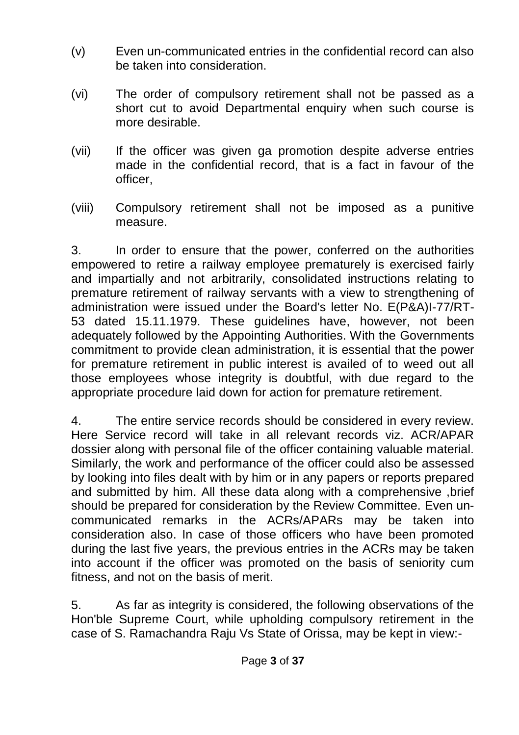- (v) Even un-communicated entries in the confidential record can also be taken into consideration.
- (vi) The order of compulsory retirement shall not be passed as a short cut to avoid Departmental enquiry when such course is more desirable.
- (vii) If the officer was given ga promotion despite adverse entries made in the confidential record, that is a fact in favour of the officer,
- (viii) Compulsory retirement shall not be imposed as a punitive measure.

3. In order to ensure that the power, conferred on the authorities empowered to retire a railway employee prematurely is exercised fairly and impartially and not arbitrarily, consolidated instructions relating to premature retirement of railway servants with a view to strengthening of administration were issued under the Board's letter No. E(P&A)I-77/RT-53 dated 15.11.1979. These guidelines have, however, not been adequately followed by the Appointing Authorities. With the Governments commitment to provide clean administration, it is essential that the power for premature retirement in public interest is availed of to weed out all those employees whose integrity is doubtful, with due regard to the appropriate procedure laid down for action for premature retirement.

4. The entire service records should be considered in every review. Here Service record will take in all relevant records viz. ACR/APAR dossier along with personal file of the officer containing valuable material. Similarly, the work and performance of the officer could also be assessed by looking into files dealt with by him or in any papers or reports prepared and submitted by him. All these data along with a comprehensive ,brief should be prepared for consideration by the Review Committee. Even uncommunicated remarks in the ACRs/APARs may be taken into consideration also. In case of those officers who have been promoted during the last five years, the previous entries in the ACRs may be taken into account if the officer was promoted on the basis of seniority cum fitness, and not on the basis of merit.

5. As far as integrity is considered, the following observations of the Hon'ble Supreme Court, while upholding compulsory retirement in the case of S. Ramachandra Raju Vs State of Orissa, may be kept in view:-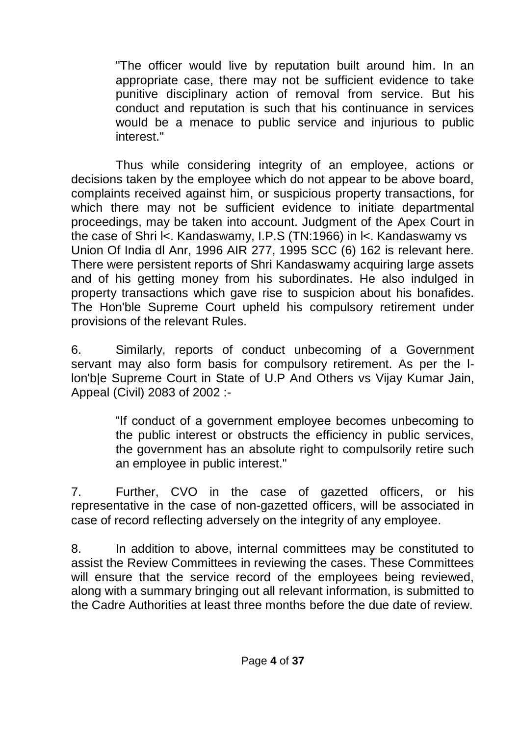"The officer would live by reputation built around him. In an appropriate case, there may not be sufficient evidence to take punitive disciplinary action of removal from service. But his conduct and reputation is such that his continuance in services would be a menace to public service and injurious to public interest."

Thus while considering integrity of an employee, actions or decisions taken by the employee which do not appear to be above board, complaints received against him, or suspicious property transactions, for which there may not be sufficient evidence to initiate departmental proceedings, may be taken into account. Judgment of the Apex Court in the case of Shri l<. Kandaswamy, I.P.S (TN:1966) in l<. Kandaswamy vs Union Of India dl Anr, 1996 AIR 277, 1995 SCC (6) 162 is relevant here. There were persistent reports of Shri Kandaswamy acquiring large assets and of his getting money from his subordinates. He also indulged in property transactions which gave rise to suspicion about his bonafides. The Hon'ble Supreme Court upheld his compulsory retirement under provisions of the relevant Rules.

6. Similarly, reports of conduct unbecoming of a Government servant may also form basis for compulsory retirement. As per the llon'b|e Supreme Court in State of U.P And Others vs Vijay Kumar Jain, Appeal (Civil) 2083 of 2002 :-

> "If conduct of a government employee becomes unbecoming to the public interest or obstructs the efficiency in public services, the government has an absolute right to compulsorily retire such an employee in public interest."

7. Further, CVO in the case of gazetted officers, or his representative in the case of non-gazetted officers, will be associated in case of record reflecting adversely on the integrity of any employee.

8. In addition to above, internal committees may be constituted to assist the Review Committees in reviewing the cases. These Committees will ensure that the service record of the employees being reviewed, along with a summary bringing out all relevant information, is submitted to the Cadre Authorities at least three months before the due date of review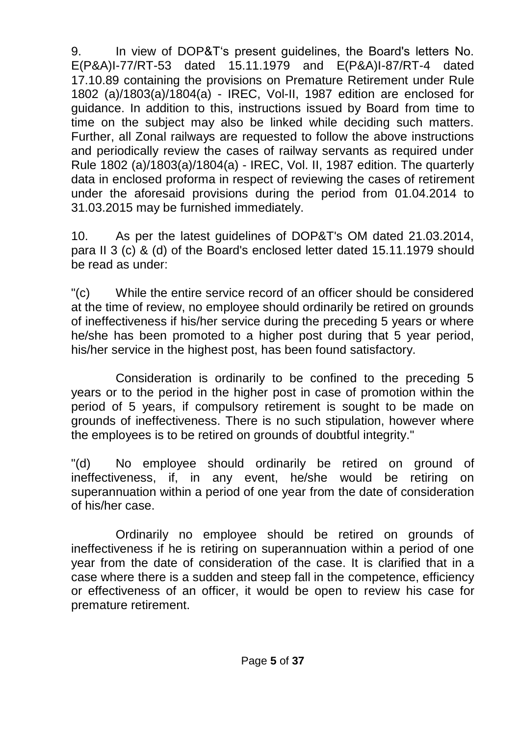9. In view of DOP&T"s present guidelines, the Board's letters No. E(P&A)I-77/RT-53 dated 15.11.1979 and E(P&A)I-87/RT-4 dated 17.10.89 containing the provisions on Premature Retirement under Rule 1802 (a)/1803(a)/1804(a) - IREC, Vol-II, 1987 edition are enclosed for guidance. In addition to this, instructions issued by Board from time to time on the subject may also be linked while deciding such matters. Further, all Zonal railways are requested to follow the above instructions and periodically review the cases of railway servants as required under Rule 1802 (a)/1803(a)/1804(a) - IREC, Vol. II, 1987 edition. The quarterly data in enclosed proforma in respect of reviewing the cases of retirement under the aforesaid provisions during the period from 01.04.2014 to 31.03.2015 may be furnished immediately.

10. As per the latest guidelines of DOP&T's OM dated 21.03.2014, para II 3 (c) & (d) of the Board's enclosed letter dated 15.11.1979 should be read as under:

"(c) While the entire service record of an officer should be considered at the time of review, no employee should ordinarily be retired on grounds of ineffectiveness if his/her service during the preceding 5 years or where he/she has been promoted to a higher post during that 5 year period, his/her service in the highest post, has been found satisfactory.

Consideration is ordinarily to be confined to the preceding 5 years or to the period in the higher post in case of promotion within the period of 5 years, if compulsory retirement is sought to be made on grounds of ineffectiveness. There is no such stipulation, however where the employees is to be retired on grounds of doubtful integrity."

"(d) No employee should ordinarily be retired on ground of ineffectiveness, if, in any event, he/she would be retiring on superannuation within a period of one year from the date of consideration of his/her case.

Ordinarily no employee should be retired on grounds of ineffectiveness if he is retiring on superannuation within a period of one year from the date of consideration of the case. It is clarified that in a case where there is a sudden and steep fall in the competence, efficiency or effectiveness of an officer, it would be open to review his case for premature retirement.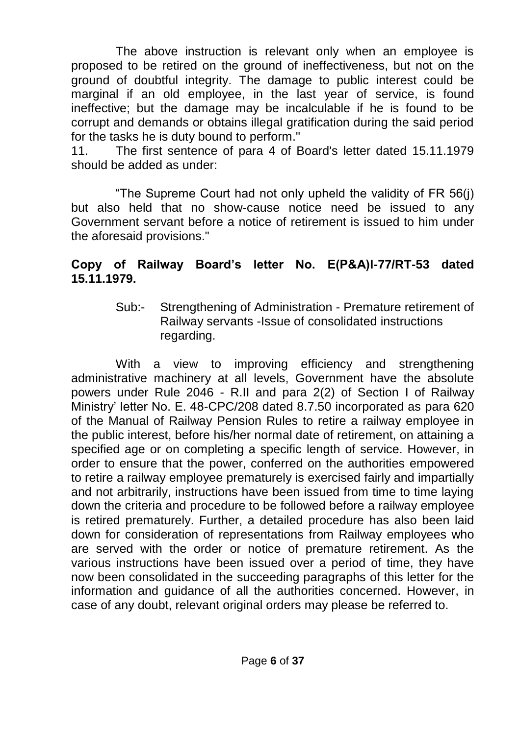The above instruction is relevant only when an employee is proposed to be retired on the ground of ineffectiveness, but not on the ground of doubtful integrity. The damage to public interest could be marginal if an old employee, in the last year of service, is found ineffective; but the damage may be incalculable if he is found to be corrupt and demands or obtains illegal gratification during the said period for the tasks he is duty bound to perform."

11. The first sentence of para 4 of Board's letter dated 15.11.1979 should be added as under:

"The Supreme Court had not only upheld the validity of FR 56(j) but also held that no show-cause notice need be issued to any Government servant before a notice of retirement is issued to him under the aforesaid provisions."

# **Copy of Railway Board's letter No. E(P&A)I-77/RT-53 dated 15.11.1979.**

Sub:- Strengthening of Administration - Premature retirement of Railway servants -Issue of consolidated instructions regarding.

With a view to improving efficiency and strengthening administrative machinery at all levels, Government have the absolute powers under Rule 2046 - R.II and para 2(2) of Section I of Railway Ministry" letter No. E. 48-CPC/208 dated 8.7.50 incorporated as para 620 of the Manual of Railway Pension Rules to retire a railway employee in the public interest, before his/her normal date of retirement, on attaining a specified age or on completing a specific length of service. However, in order to ensure that the power, conferred on the authorities empowered to retire a railway employee prematurely is exercised fairly and impartially and not arbitrarily, instructions have been issued from time to time laying down the criteria and procedure to be followed before a railway employee is retired prematurely. Further, a detailed procedure has also been laid down for consideration of representations from Railway employees who are served with the order or notice of premature retirement. As the various instructions have been issued over a period of time, they have now been consolidated in the succeeding paragraphs of this letter for the information and guidance of all the authorities concerned. However, in case of any doubt, relevant original orders may please be referred to.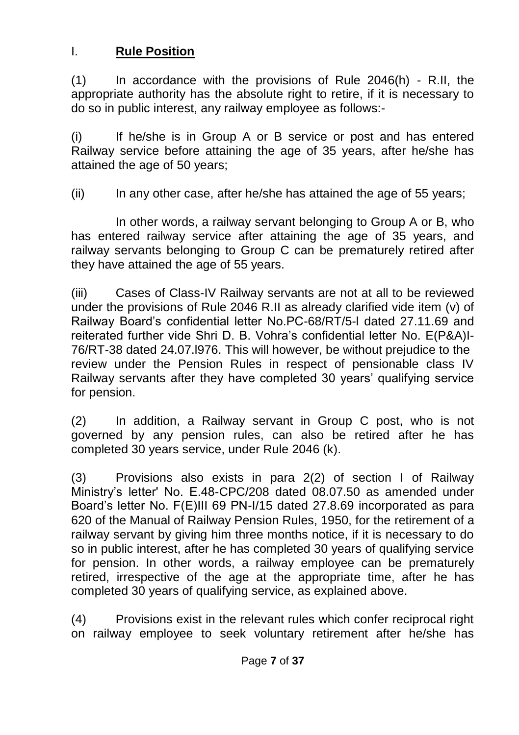# I. **Rule Position**

(1) In accordance with the provisions of Rule 2046(h) - R.II, the appropriate authority has the absolute right to retire, if it is necessary to do so in public interest, any railway employee as follows:-

(i) If he/she is in Group A or B service or post and has entered Railway service before attaining the age of 35 years, after he/she has attained the age of 50 years;

(ii) In any other case, after he/she has attained the age of 55 years;

In other words, a railway servant belonging to Group A or B, who has entered railway service after attaining the age of 35 years, and railway servants belonging to Group C can be prematurely retired after they have attained the age of 55 years.

(iii) Cases of Class-IV Railway servants are not at all to be reviewed under the provisions of Rule 2046 R.II as already clarified vide item (v) of Railway Board"s confidential letter No.PC-68/RT/5-l dated 27.11.69 and reiterated further vide Shri D. B. Vohra"s confidential letter No. E(P&A)I-76/RT-38 dated 24.07.l976. This will however, be without prejudice to the review under the Pension Rules in respect of pensionable class IV Railway servants after they have completed 30 years" qualifying service for pension.

(2) In addition, a Railway servant in Group C post, who is not governed by any pension rules, can also be retired after he has completed 30 years service, under Rule 2046 (k).

(3) Provisions also exists in para 2(2) of section I of Railway Ministry"s letter' No. E.48-CPC/208 dated 08.07.50 as amended under Board"s letter No. F(E)III 69 PN-I/15 dated 27.8.69 incorporated as para 620 of the Manual of Railway Pension Rules, 1950, for the retirement of a railway servant by giving him three months notice, if it is necessary to do so in public interest, after he has completed 30 years of qualifying service for pension. In other words, a railway employee can be prematurely retired, irrespective of the age at the appropriate time, after he has completed 30 years of qualifying service, as explained above.

(4) Provisions exist in the relevant rules which confer reciprocal right on railway employee to seek voluntary retirement after he/she has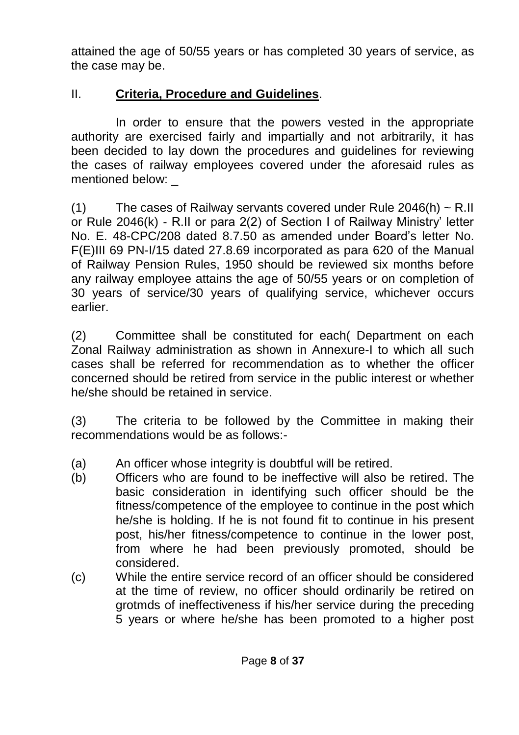attained the age of 50/55 years or has completed 30 years of service, as the case may be.

# II. **Criteria, Procedure and Guidelines**.

In order to ensure that the powers vested in the appropriate authority are exercised fairly and impartially and not arbitrarily, it has been decided to lay down the procedures and guidelines for reviewing the cases of railway employees covered under the aforesaid rules as mentioned below:

(1) The cases of Railway servants covered under Rule 2046(h)  $\sim$  R.II or Rule 2046(k) - R.II or para 2(2) of Section I of Railway Ministry" letter No. E. 48-CPC/208 dated 8.7.50 as amended under Board"s letter No. F(E)III 69 PN-I/15 dated 27.8.69 incorporated as para 620 of the Manual of Railway Pension Rules, 1950 should be reviewed six months before any railway employee attains the age of 50/55 years or on completion of 30 years of service/30 years of qualifying service, whichever occurs earlier.

(2) Committee shall be constituted for each( Department on each Zonal Railway administration as shown in Annexure-I to which all such cases shall be referred for recommendation as to whether the officer concerned should be retired from service in the public interest or whether he/she should be retained in service.

(3) The criteria to be followed by the Committee in making their recommendations would be as follows:-

- (a) An officer whose integrity is doubtful will be retired.
- (b) Officers who are found to be ineffective will also be retired. The basic consideration in identifying such officer should be the fitness/competence of the employee to continue in the post which he/she is holding. If he is not found fit to continue in his present post, his/her fitness/competence to continue in the lower post, from where he had been previously promoted, should be considered.
- (c) While the entire service record of an officer should be considered at the time of review, no officer should ordinarily be retired on grotmds of ineffectiveness if his/her service during the preceding 5 years or where he/she has been promoted to a higher post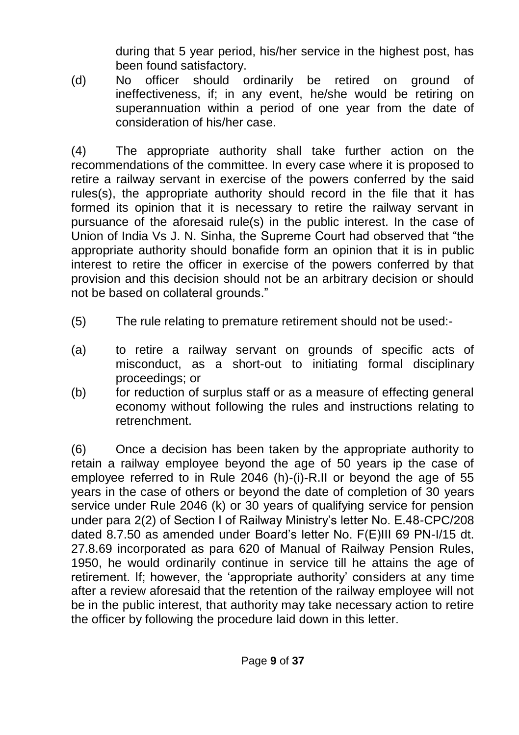during that 5 year period, his/her service in the highest post, has been found satisfactory.

(d) No officer should ordinarily be retired on ground of ineffectiveness, if; in any event, he/she would be retiring on superannuation within a period of one year from the date of consideration of his/her case.

(4) The appropriate authority shall take further action on the recommendations of the committee. In every case where it is proposed to retire a railway servant in exercise of the powers conferred by the said rules(s), the appropriate authority should record in the file that it has formed its opinion that it is necessary to retire the railway servant in pursuance of the aforesaid rule(s) in the public interest. In the case of Union of India Vs J. N. Sinha, the Supreme Court had observed that "the appropriate authority should bonafide form an opinion that it is in public interest to retire the officer in exercise of the powers conferred by that provision and this decision should not be an arbitrary decision or should not be based on collateral grounds."

- (5) The rule relating to premature retirement should not be used:-
- (a) to retire a railway servant on grounds of specific acts of misconduct, as a short-out to initiating formal disciplinary proceedings; or
- (b) for reduction of surplus staff or as a measure of effecting general economy without following the rules and instructions relating to retrenchment.

(6) Once a decision has been taken by the appropriate authority to retain a railway employee beyond the age of 50 years ip the case of employee referred to in Rule 2046 (h)-(i)-R.II or beyond the age of 55 years in the case of others or beyond the date of completion of 30 years service under Rule 2046 (k) or 30 years of qualifying service for pension under para 2(2) of Section I of Railway Ministry"s letter No. E.48-CPC/208 dated 8.7.50 as amended under Board"s letter No. F(E)III 69 PN-I/15 dt. 27.8.69 incorporated as para 620 of Manual of Railway Pension Rules, 1950, he would ordinarily continue in service till he attains the age of retirement. If; however, the "appropriate authority" considers at any time after a review aforesaid that the retention of the railway employee will not be in the public interest, that authority may take necessary action to retire the officer by following the procedure laid down in this letter.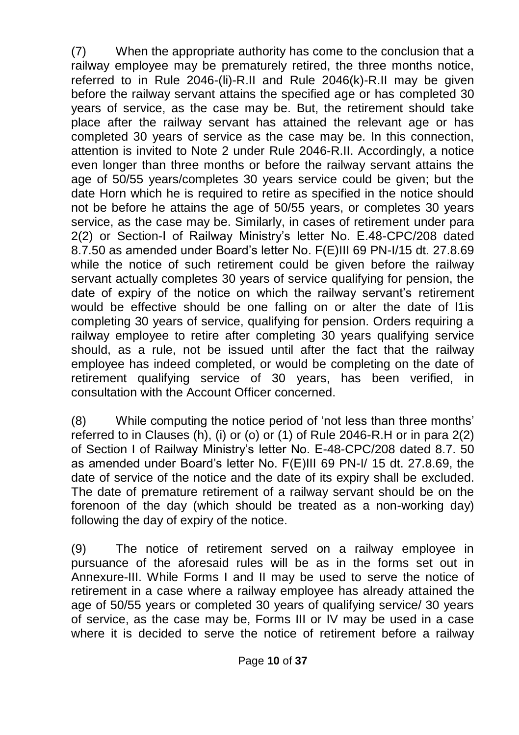(7) When the appropriate authority has come to the conclusion that a railway employee may be prematurely retired, the three months notice, referred to in Rule 2046-(li)-R.II and Rule 2046(k)-R.II may be given before the railway servant attains the specified age or has completed 30 years of service, as the case may be. But, the retirement should take place after the railway servant has attained the relevant age or has completed 30 years of service as the case may be. In this connection, attention is invited to Note 2 under Rule 2046-R.II. Accordingly, a notice even longer than three months or before the railway servant attains the age of 50/55 years/completes 30 years service could be given; but the date Horn which he is required to retire as specified in the notice should not be before he attains the age of 50/55 years, or completes 30 years service, as the case may be. Similarly, in cases of retirement under para 2(2) or Section-I of Railway Ministry"s letter No. E.48-CPC/208 dated 8.7.50 as amended under Board"s letter No. F(E)III 69 PN-I/15 dt. 27.8.69 while the notice of such retirement could be given before the railway servant actually completes 30 years of service qualifying for pension, the date of expiry of the notice on which the railway servant's retirement would be effective should be one falling on or alter the date of l1is completing 30 years of service, qualifying for pension. Orders requiring a railway employee to retire after completing 30 years qualifying service should, as a rule, not be issued until after the fact that the railway employee has indeed completed, or would be completing on the date of retirement qualifying service of 30 years, has been verified. in consultation with the Account Officer concerned.

(8) While computing the notice period of "not less than three months" referred to in Clauses (h), (i) or (o) or (1) of Rule 2046-R.H or in para 2(2) of Section I of Railway Ministry"s letter No. E-48-CPC/208 dated 8.7. 50 as amended under Board"s letter No. F(E)III 69 PN-I/ 15 dt. 27.8.69, the date of service of the notice and the date of its expiry shall be excluded. The date of premature retirement of a railway servant should be on the forenoon of the day (which should be treated as a non-working day) following the day of expiry of the notice.

(9) The notice of retirement served on a railway employee in pursuance of the aforesaid rules will be as in the forms set out in Annexure-III. While Forms I and II may be used to serve the notice of retirement in a case where a railway employee has already attained the age of 50/55 years or completed 30 years of qualifying service/ 30 years of service, as the case may be, Forms III or IV may be used in a case where it is decided to serve the notice of retirement before a railway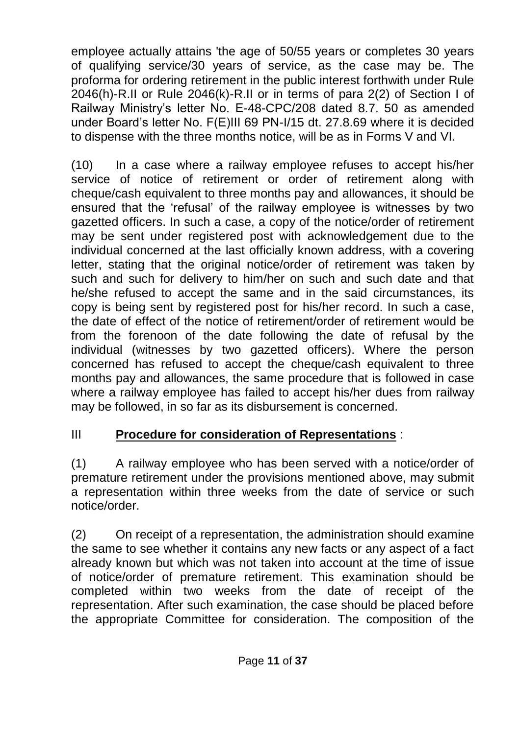employee actually attains 'the age of 50/55 years or completes 30 years of qualifying service/30 years of service, as the case may be. The proforma for ordering retirement in the public interest forthwith under Rule 2046(h)-R.II or Rule 2046(k)-R.II or in terms of para 2(2) of Section I of Railway Ministry"s letter No. E-48-CPC/208 dated 8.7. 50 as amended under Board"s letter No. F(E)III 69 PN-I/15 dt. 27.8.69 where it is decided to dispense with the three months notice, will be as in Forms V and VI.

(10) In a case where a railway employee refuses to accept his/her service of notice of retirement or order of retirement along with cheque/cash equivalent to three months pay and allowances, it should be ensured that the "refusal" of the railway employee is witnesses by two gazetted officers. In such a case, a copy of the notice/order of retirement may be sent under registered post with acknowledgement due to the individual concerned at the last officially known address, with a covering letter, stating that the original notice/order of retirement was taken by such and such for delivery to him/her on such and such date and that he/she refused to accept the same and in the said circumstances, its copy is being sent by registered post for his/her record. In such a case, the date of effect of the notice of retirement/order of retirement would be from the forenoon of the date following the date of refusal by the individual (witnesses by two gazetted officers). Where the person concerned has refused to accept the cheque/cash equivalent to three months pay and allowances, the same procedure that is followed in case where a railway employee has failed to accept his/her dues from railway may be followed, in so far as its disbursement is concerned.

# III **Procedure for consideration of Representations** :

(1) A railway employee who has been served with a notice/order of premature retirement under the provisions mentioned above, may submit a representation within three weeks from the date of service or such notice/order.

(2) On receipt of a representation, the administration should examine the same to see whether it contains any new facts or any aspect of a fact already known but which was not taken into account at the time of issue of notice/order of premature retirement. This examination should be completed within two weeks from the date of receipt of the representation. After such examination, the case should be placed before the appropriate Committee for consideration. The composition of the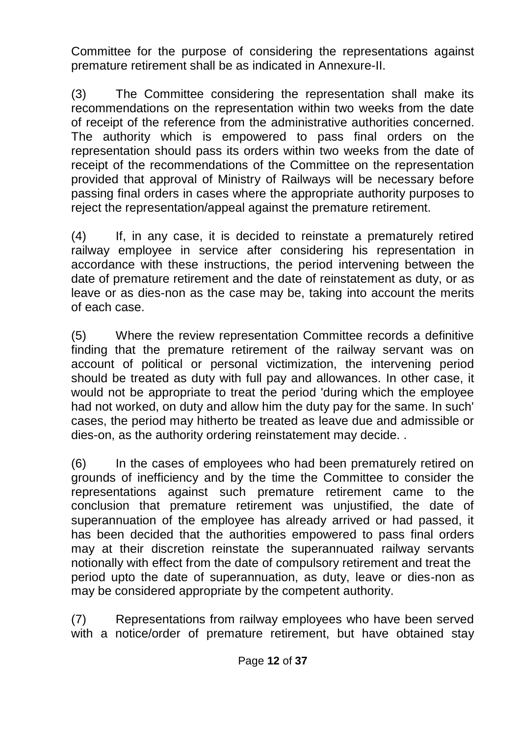Committee for the purpose of considering the representations against premature retirement shall be as indicated in Annexure-II.

(3) The Committee considering the representation shall make its recommendations on the representation within two weeks from the date of receipt of the reference from the administrative authorities concerned. The authority which is empowered to pass final orders on the representation should pass its orders within two weeks from the date of receipt of the recommendations of the Committee on the representation provided that approval of Ministry of Railways will be necessary before passing final orders in cases where the appropriate authority purposes to reject the representation/appeal against the premature retirement.

(4) If, in any case, it is decided to reinstate a prematurely retired railway employee in service after considering his representation in accordance with these instructions, the period intervening between the date of premature retirement and the date of reinstatement as duty, or as leave or as dies-non as the case may be, taking into account the merits of each case.

(5) Where the review representation Committee records a definitive finding that the premature retirement of the railway servant was on account of political or personal victimization, the intervening period should be treated as duty with full pay and allowances. In other case, it would not be appropriate to treat the period 'during which the employee had not worked, on duty and allow him the duty pay for the same. In such' cases, the period may hitherto be treated as leave due and admissible or dies-on, as the authority ordering reinstatement may decide. .

(6) In the cases of employees who had been prematurely retired on grounds of inefficiency and by the time the Committee to consider the representations against such premature retirement came to the conclusion that premature retirement was unjustified, the date of superannuation of the employee has already arrived or had passed, it has been decided that the authorities empowered to pass final orders may at their discretion reinstate the superannuated railway servants notionally with effect from the date of compulsory retirement and treat the period upto the date of superannuation, as duty, leave or dies-non as may be considered appropriate by the competent authority.

(7) Representations from railway employees who have been served with a notice/order of premature retirement, but have obtained stay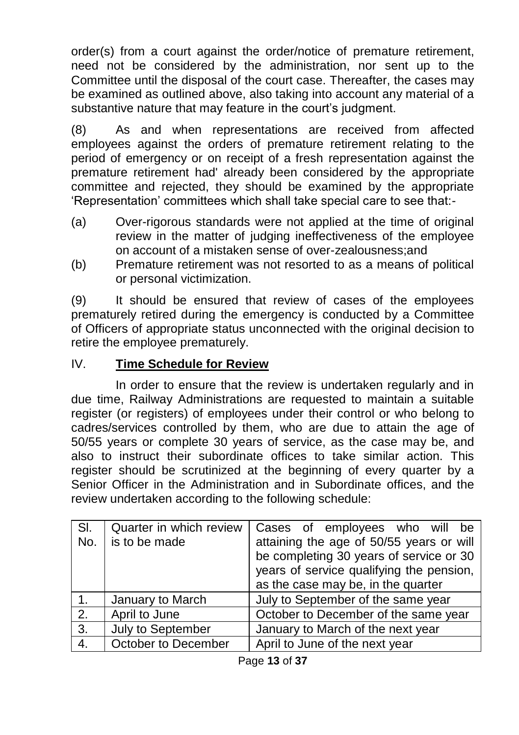order(s) from a court against the order/notice of premature retirement, need not be considered by the administration, nor sent up to the Committee until the disposal of the court case. Thereafter, the cases may be examined as outlined above, also taking into account any material of a substantive nature that may feature in the court's judgment.

(8) As and when representations are received from affected employees against the orders of premature retirement relating to the period of emergency or on receipt of a fresh representation against the premature retirement had' already been considered by the appropriate committee and rejected, they should be examined by the appropriate "Representation" committees which shall take special care to see that:-

- (a) Over-rigorous standards were not applied at the time of original review in the matter of judging ineffectiveness of the employee on account of a mistaken sense of over-zealousness;and
- (b) Premature retirement was not resorted to as a means of political or personal victimization.

(9) It should be ensured that review of cases of the employees prematurely retired during the emergency is conducted by a Committee of Officers of appropriate status unconnected with the original decision to retire the employee prematurely.

# IV. **Time Schedule for Review**

In order to ensure that the review is undertaken regularly and in due time, Railway Administrations are requested to maintain a suitable register (or registers) of employees under their control or who belong to cadres/services controlled by them, who are due to attain the age of 50/55 years or complete 30 years of service, as the case may be, and also to instruct their subordinate offices to take similar action. This register should be scrutinized at the beginning of every quarter by a Senior Officer in the Administration and in Subordinate offices, and the review undertaken according to the following schedule:

| SI.<br>No. | Quarter in which review<br>is to be made | Cases of employees who will<br>be<br>attaining the age of 50/55 years or will<br>be completing 30 years of service or 30<br>years of service qualifying the pension,<br>as the case may be, in the quarter |
|------------|------------------------------------------|------------------------------------------------------------------------------------------------------------------------------------------------------------------------------------------------------------|
| 1.         | January to March                         | July to September of the same year                                                                                                                                                                         |
| 2.         | April to June                            | October to December of the same year                                                                                                                                                                       |
| 3.         | July to September                        | January to March of the next year                                                                                                                                                                          |
| 4.         | October to December                      | April to June of the next year                                                                                                                                                                             |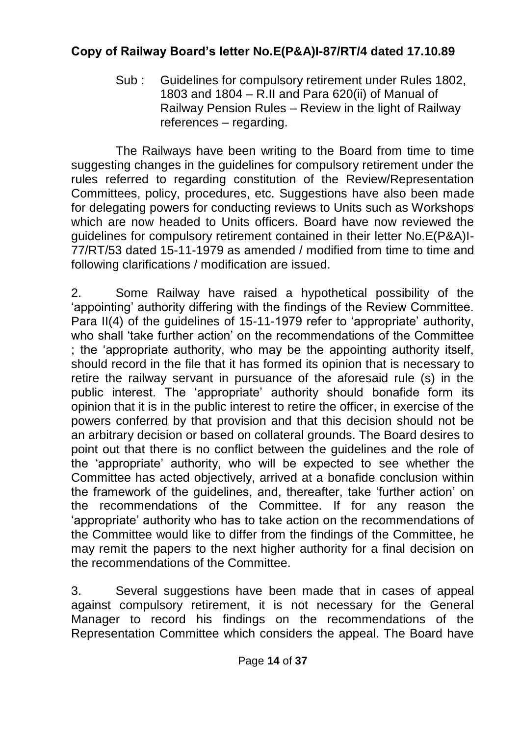# **Copy of Railway Board's letter No.E(P&A)I-87/RT/4 dated 17.10.89**

Sub : Guidelines for compulsory retirement under Rules 1802, 1803 and 1804 – R.II and Para 620(ii) of Manual of Railway Pension Rules – Review in the light of Railway references – regarding.

The Railways have been writing to the Board from time to time suggesting changes in the guidelines for compulsory retirement under the rules referred to regarding constitution of the Review/Representation Committees, policy, procedures, etc. Suggestions have also been made for delegating powers for conducting reviews to Units such as Workshops which are now headed to Units officers. Board have now reviewed the guidelines for compulsory retirement contained in their letter No.E(P&A)I-77/RT/53 dated 15-11-1979 as amended / modified from time to time and following clarifications / modification are issued.

2. Some Railway have raised a hypothetical possibility of the "appointing" authority differing with the findings of the Review Committee. Para II(4) of the quidelines of 15-11-1979 refer to 'appropriate' authority, who shall "take further action" on the recommendations of the Committee ; the "appropriate authority, who may be the appointing authority itself, should record in the file that it has formed its opinion that is necessary to retire the railway servant in pursuance of the aforesaid rule (s) in the public interest. The "appropriate" authority should bonafide form its opinion that it is in the public interest to retire the officer, in exercise of the powers conferred by that provision and that this decision should not be an arbitrary decision or based on collateral grounds. The Board desires to point out that there is no conflict between the guidelines and the role of the "appropriate" authority, who will be expected to see whether the Committee has acted objectively, arrived at a bonafide conclusion within the framework of the guidelines, and, thereafter, take "further action" on the recommendations of the Committee. If for any reason the "appropriate" authority who has to take action on the recommendations of the Committee would like to differ from the findings of the Committee, he may remit the papers to the next higher authority for a final decision on the recommendations of the Committee.

3. Several suggestions have been made that in cases of appeal against compulsory retirement, it is not necessary for the General Manager to record his findings on the recommendations of the Representation Committee which considers the appeal. The Board have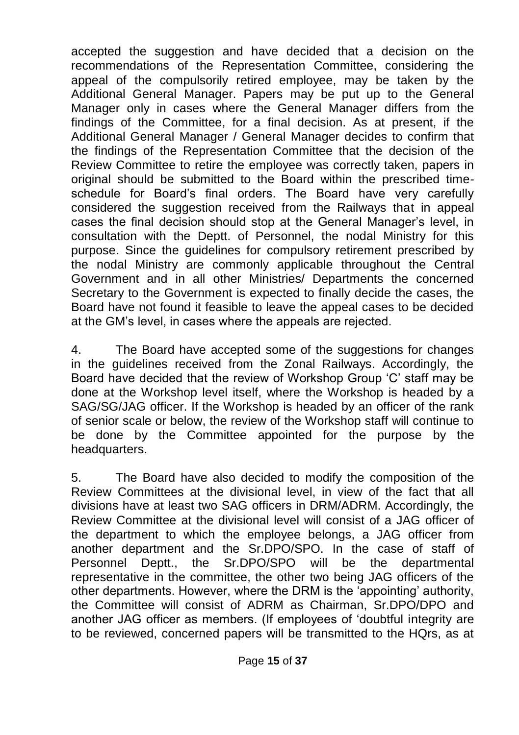accepted the suggestion and have decided that a decision on the recommendations of the Representation Committee, considering the appeal of the compulsorily retired employee, may be taken by the Additional General Manager. Papers may be put up to the General Manager only in cases where the General Manager differs from the findings of the Committee, for a final decision. As at present, if the Additional General Manager / General Manager decides to confirm that the findings of the Representation Committee that the decision of the Review Committee to retire the employee was correctly taken, papers in original should be submitted to the Board within the prescribed timeschedule for Board"s final orders. The Board have very carefully considered the suggestion received from the Railways that in appeal cases the final decision should stop at the General Manager"s level, in consultation with the Deptt. of Personnel, the nodal Ministry for this purpose. Since the guidelines for compulsory retirement prescribed by the nodal Ministry are commonly applicable throughout the Central Government and in all other Ministries/ Departments the concerned Secretary to the Government is expected to finally decide the cases, the Board have not found it feasible to leave the appeal cases to be decided at the GM"s level, in cases where the appeals are rejected.

4. The Board have accepted some of the suggestions for changes in the guidelines received from the Zonal Railways. Accordingly, the Board have decided that the review of Workshop Group "C" staff may be done at the Workshop level itself, where the Workshop is headed by a SAG/SG/JAG officer. If the Workshop is headed by an officer of the rank of senior scale or below, the review of the Workshop staff will continue to be done by the Committee appointed for the purpose by the headquarters.

5. The Board have also decided to modify the composition of the Review Committees at the divisional level, in view of the fact that all divisions have at least two SAG officers in DRM/ADRM. Accordingly, the Review Committee at the divisional level will consist of a JAG officer of the department to which the employee belongs, a JAG officer from another department and the Sr.DPO/SPO. In the case of staff of Personnel Deptt., the Sr.DPO/SPO will be the departmental representative in the committee, the other two being JAG officers of the other departments. However, where the DRM is the "appointing" authority, the Committee will consist of ADRM as Chairman, Sr.DPO/DPO and another JAG officer as members. (If employees of "doubtful integrity are to be reviewed, concerned papers will be transmitted to the HQrs, as at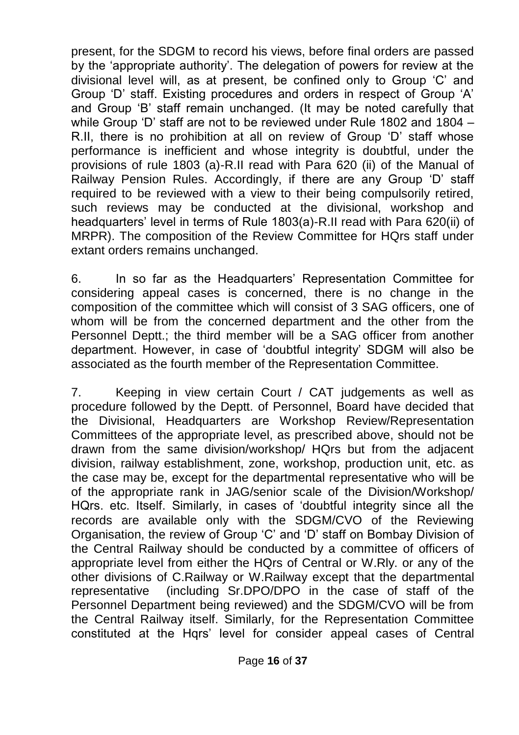present, for the SDGM to record his views, before final orders are passed by the "appropriate authority". The delegation of powers for review at the divisional level will, as at present, be confined only to Group "C" and Group "D" staff. Existing procedures and orders in respect of Group "A" and Group "B" staff remain unchanged. (It may be noted carefully that while Group "D" staff are not to be reviewed under Rule 1802 and 1804 – R.II, there is no prohibition at all on review of Group "D" staff whose performance is inefficient and whose integrity is doubtful, under the provisions of rule 1803 (a)-R.II read with Para 620 (ii) of the Manual of Railway Pension Rules. Accordingly, if there are any Group "D" staff required to be reviewed with a view to their being compulsorily retired, such reviews may be conducted at the divisional, workshop and headquarters" level in terms of Rule 1803(a)-R.II read with Para 620(ii) of MRPR). The composition of the Review Committee for HQrs staff under extant orders remains unchanged.

6. In so far as the Headquarters" Representation Committee for considering appeal cases is concerned, there is no change in the composition of the committee which will consist of 3 SAG officers, one of whom will be from the concerned department and the other from the Personnel Deptt.; the third member will be a SAG officer from another department. However, in case of "doubtful integrity" SDGM will also be associated as the fourth member of the Representation Committee.

7. Keeping in view certain Court / CAT judgements as well as procedure followed by the Deptt. of Personnel, Board have decided that the Divisional, Headquarters are Workshop Review/Representation Committees of the appropriate level, as prescribed above, should not be drawn from the same division/workshop/ HQrs but from the adjacent division, railway establishment, zone, workshop, production unit, etc. as the case may be, except for the departmental representative who will be of the appropriate rank in JAG/senior scale of the Division/Workshop/ HQrs. etc. Itself. Similarly, in cases of "doubtful integrity since all the records are available only with the SDGM/CVO of the Reviewing Organisation, the review of Group "C" and "D" staff on Bombay Division of the Central Railway should be conducted by a committee of officers of appropriate level from either the HQrs of Central or W.Rly. or any of the other divisions of C.Railway or W.Railway except that the departmental representative (including Sr.DPO/DPO in the case of staff of the Personnel Department being reviewed) and the SDGM/CVO will be from the Central Railway itself. Similarly, for the Representation Committee constituted at the Hqrs" level for consider appeal cases of Central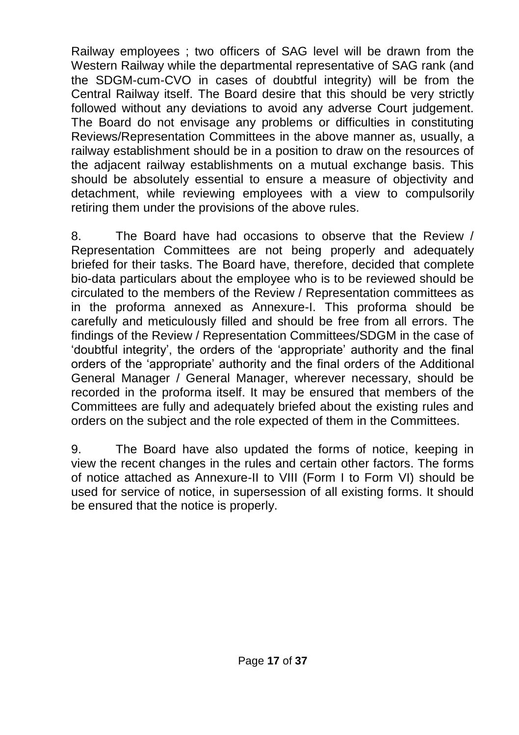Railway employees ; two officers of SAG level will be drawn from the Western Railway while the departmental representative of SAG rank (and the SDGM-cum-CVO in cases of doubtful integrity) will be from the Central Railway itself. The Board desire that this should be very strictly followed without any deviations to avoid any adverse Court judgement. The Board do not envisage any problems or difficulties in constituting Reviews/Representation Committees in the above manner as, usually, a railway establishment should be in a position to draw on the resources of the adjacent railway establishments on a mutual exchange basis. This should be absolutely essential to ensure a measure of objectivity and detachment, while reviewing employees with a view to compulsorily retiring them under the provisions of the above rules.

8. The Board have had occasions to observe that the Review / Representation Committees are not being properly and adequately briefed for their tasks. The Board have, therefore, decided that complete bio-data particulars about the employee who is to be reviewed should be circulated to the members of the Review / Representation committees as in the proforma annexed as Annexure-I. This proforma should be carefully and meticulously filled and should be free from all errors. The findings of the Review / Representation Committees/SDGM in the case of "doubtful integrity", the orders of the "appropriate" authority and the final orders of the "appropriate" authority and the final orders of the Additional General Manager / General Manager, wherever necessary, should be recorded in the proforma itself. It may be ensured that members of the Committees are fully and adequately briefed about the existing rules and orders on the subject and the role expected of them in the Committees.

9. The Board have also updated the forms of notice, keeping in view the recent changes in the rules and certain other factors. The forms of notice attached as Annexure-II to VIII (Form I to Form VI) should be used for service of notice, in supersession of all existing forms. It should be ensured that the notice is properly.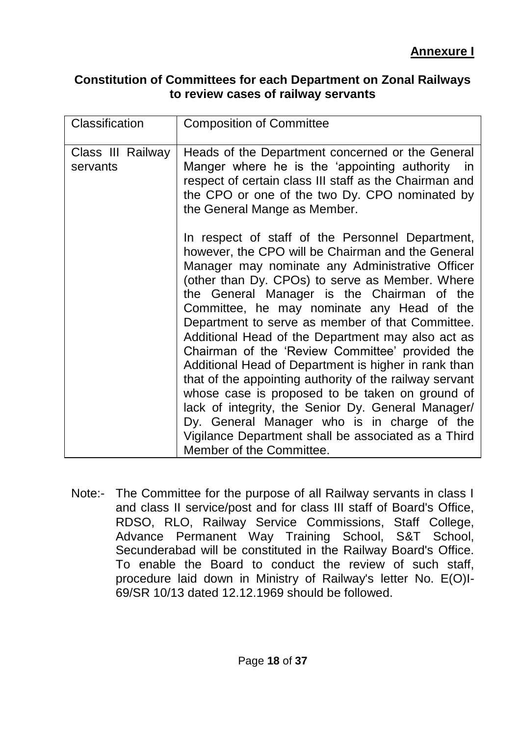#### **Constitution of Committees for each Department on Zonal Railways to review cases of railway servants**

| Classification                | <b>Composition of Committee</b>                                                                                                                                                                                                                                                                                                                                                                                                                                                                                                                                                                                                                                                                                                                                                                                                   |
|-------------------------------|-----------------------------------------------------------------------------------------------------------------------------------------------------------------------------------------------------------------------------------------------------------------------------------------------------------------------------------------------------------------------------------------------------------------------------------------------------------------------------------------------------------------------------------------------------------------------------------------------------------------------------------------------------------------------------------------------------------------------------------------------------------------------------------------------------------------------------------|
| Class III Railway<br>servants | Heads of the Department concerned or the General<br>Manger where he is the 'appointing authority in<br>respect of certain class III staff as the Chairman and<br>the CPO or one of the two Dy. CPO nominated by<br>the General Mange as Member.                                                                                                                                                                                                                                                                                                                                                                                                                                                                                                                                                                                   |
|                               | In respect of staff of the Personnel Department,<br>however, the CPO will be Chairman and the General<br>Manager may nominate any Administrative Officer<br>(other than Dy. CPOs) to serve as Member. Where<br>the General Manager is the Chairman of the<br>Committee, he may nominate any Head of the<br>Department to serve as member of that Committee.<br>Additional Head of the Department may also act as<br>Chairman of the 'Review Committee' provided the<br>Additional Head of Department is higher in rank than<br>that of the appointing authority of the railway servant<br>whose case is proposed to be taken on ground of<br>lack of integrity, the Senior Dy. General Manager/<br>Dy. General Manager who is in charge of the<br>Vigilance Department shall be associated as a Third<br>Member of the Committee. |

Note:- The Committee for the purpose of all Railway servants in class I and class II service/post and for class III staff of Board's Office, RDSO, RLO, Railway Service Commissions, Staff College, Advance Permanent Way Training School, S&T School, Secunderabad will be constituted in the Railway Board's Office. To enable the Board to conduct the review of such staff, procedure laid down in Ministry of Railway's letter No. E(O)I-69/SR 10/13 dated 12.12.1969 should be followed.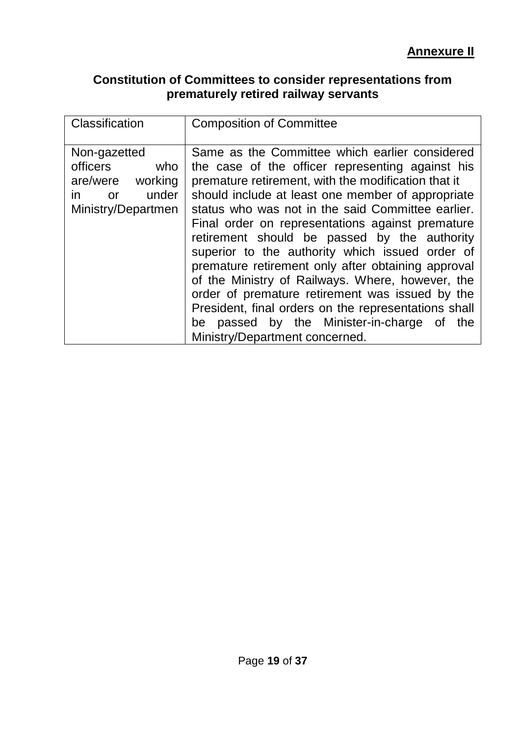#### **Constitution of Committees to consider representations from prematurely retired railway servants**

| Classification                                                                                    | <b>Composition of Committee</b>                                                                                                                                                                                                                                                                                                                                                                                                                                                                                                                                                                                                                                                                                                       |
|---------------------------------------------------------------------------------------------------|---------------------------------------------------------------------------------------------------------------------------------------------------------------------------------------------------------------------------------------------------------------------------------------------------------------------------------------------------------------------------------------------------------------------------------------------------------------------------------------------------------------------------------------------------------------------------------------------------------------------------------------------------------------------------------------------------------------------------------------|
| Non-gazetted<br>officers<br>who<br>are/were<br>working<br>under<br>in<br>or<br>Ministry/Departmen | Same as the Committee which earlier considered<br>the case of the officer representing against his<br>premature retirement, with the modification that it<br>should include at least one member of appropriate<br>status who was not in the said Committee earlier.<br>Final order on representations against premature<br>retirement should be passed by the authority<br>superior to the authority which issued order of<br>premature retirement only after obtaining approval<br>of the Ministry of Railways. Where, however, the<br>order of premature retirement was issued by the<br>President, final orders on the representations shall<br>passed by the Minister-in-charge<br>of the<br>be<br>Ministry/Department concerned. |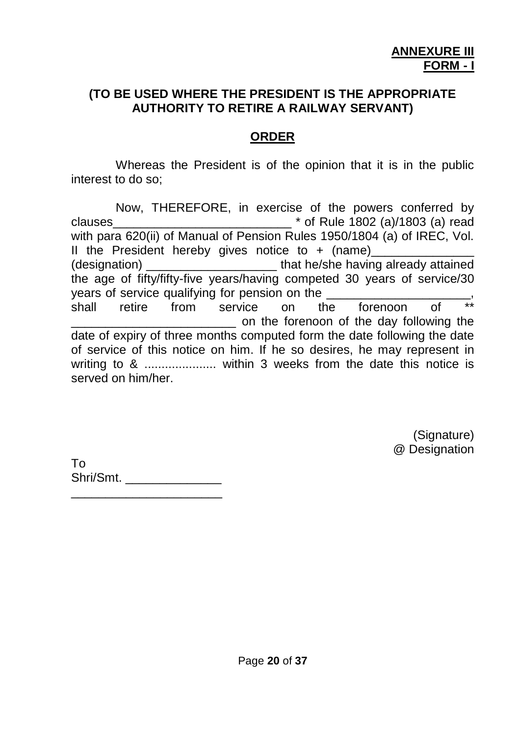#### **(TO BE USED WHERE THE PRESIDENT IS THE APPROPRIATE AUTHORITY TO RETIRE A RAILWAY SERVANT)**

## **ORDER**

Whereas the President is of the opinion that it is in the public interest to do so;

Now, THEREFORE, in exercise of the powers conferred by clauses  $\blacksquare$   $\blacksquare$   $\blacksquare$   $\blacksquare$   $\blacksquare$   $\blacksquare$   $\blacksquare$   $\blacksquare$   $\blacksquare$   $\blacksquare$   $\blacksquare$   $\blacksquare$   $\blacksquare$   $\blacksquare$   $\blacksquare$   $\blacksquare$   $\blacksquare$   $\blacksquare$   $\blacksquare$   $\blacksquare$   $\blacksquare$   $\blacksquare$   $\blacksquare$   $\blacksquare$   $\blacksquare$   $\blacksquare$   $\blacksquare$   $\blacksquare$   $\blacksquare$   $\blacksquare$   $\bl$ with para 620(ii) of Manual of Pension Rules 1950/1804 (a) of IREC, Vol. II the President hereby gives notice to  $+$  (name) (designation)  $\qquad \qquad$  that he/she having already attained the age of fifty/fifty-five years/having competed 30 years of service/30 years of service qualifying for pension on the shall retire from service on the forenoon of \_\_\_\_\_\_\_\_\_\_\_\_\_\_\_\_\_\_\_\_\_\_\_\_ on the forenoon of the day following the date of expiry of three months computed form the date following the date of service of this notice on him. If he so desires, he may represent in writing to & ..................... within 3 weeks from the date this notice is served on him/her.

> (Signature) @ Designation

To Shri/Smt. \_\_\_\_\_\_\_\_\_\_\_\_\_\_ \_\_\_\_\_\_\_\_\_\_\_\_\_\_\_\_\_\_\_\_\_\_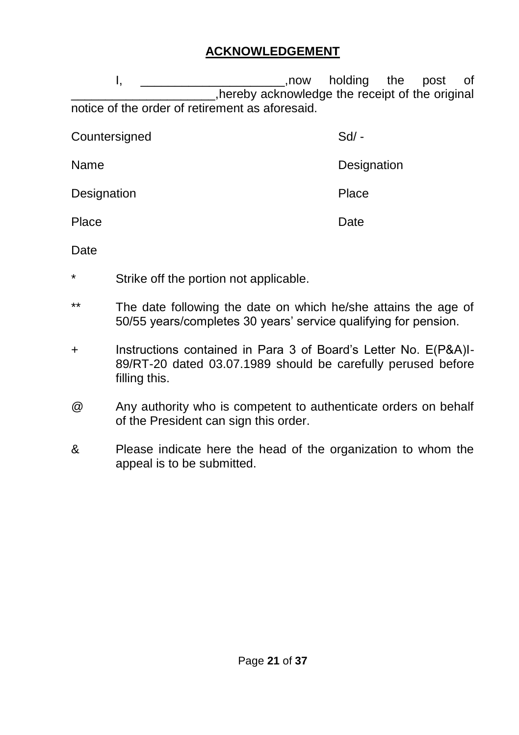## **ACKNOWLEDGEMENT**

I, the post of the post of .hereby acknowledge the receipt of the original notice of the order of retirement as aforesaid.

| Countersigned | $Sd/$ -     |
|---------------|-------------|
| Name          | Designation |
| Designation   | Place       |
| Place         | Date        |

Date

- \* Strike off the portion not applicable.
- \*\* The date following the date on which he/she attains the age of 50/55 years/completes 30 years" service qualifying for pension.
- + Instructions contained in Para 3 of Board"s Letter No. E(P&A)I-89/RT-20 dated 03.07.1989 should be carefully perused before filling this.
- @ Any authority who is competent to authenticate orders on behalf of the President can sign this order.
- & Please indicate here the head of the organization to whom the appeal is to be submitted.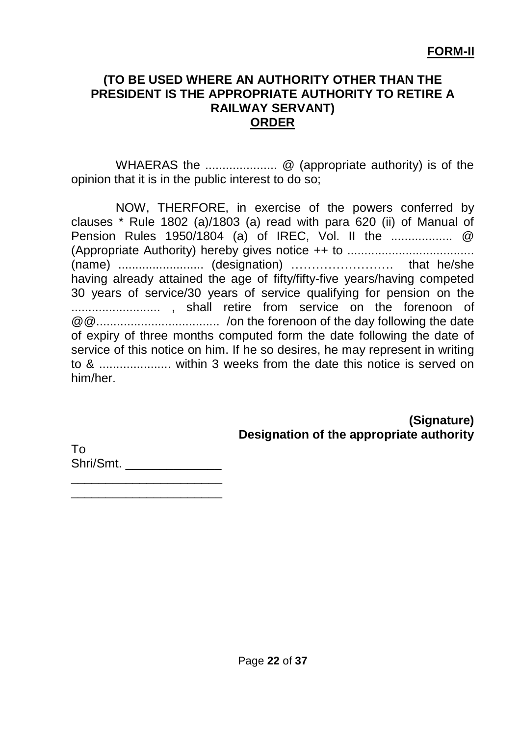#### **(TO BE USED WHERE AN AUTHORITY OTHER THAN THE PRESIDENT IS THE APPROPRIATE AUTHORITY TO RETIRE A RAILWAY SERVANT) ORDER**

WHAERAS the ..................... @ (appropriate authority) is of the opinion that it is in the public interest to do so;

NOW, THERFORE, in exercise of the powers conferred by clauses \* Rule 1802 (a)/1803 (a) read with para 620 (ii) of Manual of Pension Rules 1950/1804 (a) of IREC, Vol. II the .................. @ (Appropriate Authority) hereby gives notice ++ to ..................................... (name) ......................... (designation) ……………………. that he/she having already attained the age of fifty/fifty-five years/having competed 30 years of service/30 years of service qualifying for pension on the .......................... , shall retire from service on the forenoon of @@.................................... /on the forenoon of the day following the date of expiry of three months computed form the date following the date of service of this notice on him. If he so desires, he may represent in writing to & ..................... within 3 weeks from the date this notice is served on him/her.

#### **(Signature) Designation of the appropriate authority**

To Shri/Smt. \_\_\_\_\_\_\_\_\_\_\_\_\_\_\_\_\_\_\_\_\_\_

\_\_\_\_\_\_\_\_\_\_\_\_\_\_\_\_\_\_\_\_\_\_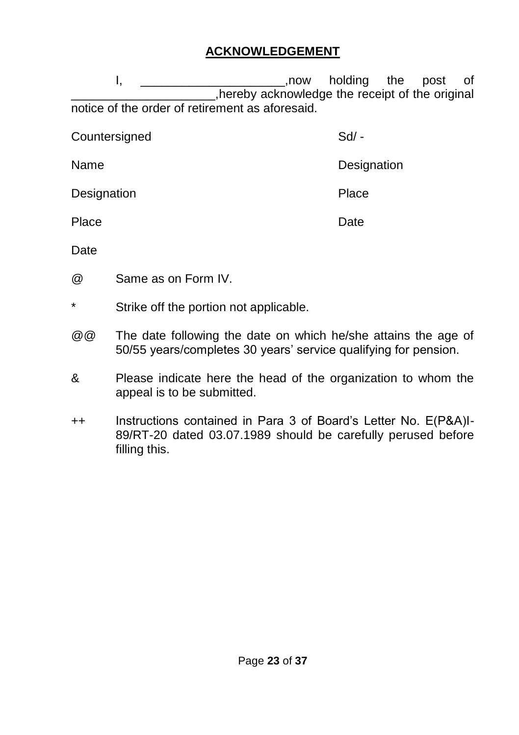# **ACKNOWLEDGEMENT**

I, the post of the post of .hereby acknowledge the receipt of the original notice of the order of retirement as aforesaid.

| Countersigned | $Sd/ -$     |
|---------------|-------------|
| Name          | Designation |
| Designation   | Place       |
| Place         | Date        |

**Date** 

@ Same as on Form IV.

Strike off the portion not applicable.

- @@ The date following the date on which he/she attains the age of 50/55 years/completes 30 years" service qualifying for pension.
- & Please indicate here the head of the organization to whom the appeal is to be submitted.
- ++ Instructions contained in Para 3 of Board"s Letter No. E(P&A)I-89/RT-20 dated 03.07.1989 should be carefully perused before filling this.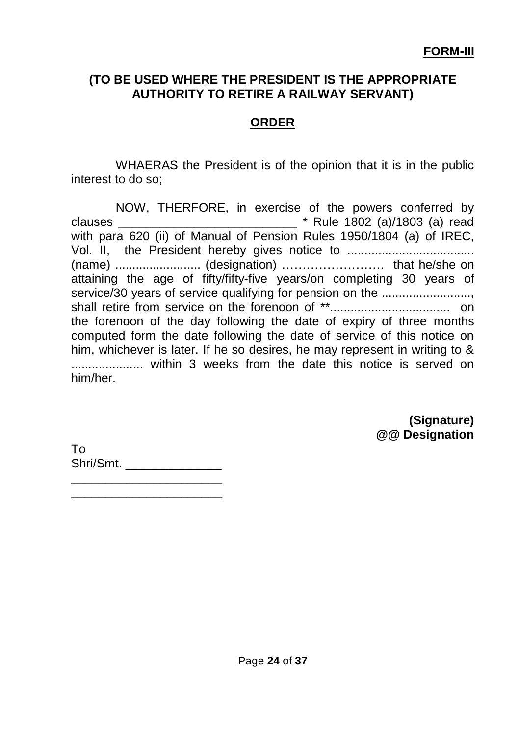#### **(TO BE USED WHERE THE PRESIDENT IS THE APPROPRIATE AUTHORITY TO RETIRE A RAILWAY SERVANT)**

# **ORDER**

WHAERAS the President is of the opinion that it is in the public interest to do so;

NOW, THERFORE, in exercise of the powers conferred by clauses \_\_\_\_\_\_\_\_\_\_\_\_\_\_\_\_\_\_\_\_\_\_\_\_\_\_ \* Rule 1802 (a)/1803 (a) read with para 620 (ii) of Manual of Pension Rules 1950/1804 (a) of IREC, Vol. II, the President hereby gives notice to ..................................... (name) ......................... (designation) ……………………. that he/she on attaining the age of fifty/fifty-five years/on completing 30 years of service/30 years of service qualifying for pension on the ....................... shall retire from service on the forenoon of \*\*................................... on the forenoon of the day following the date of expiry of three months computed form the date following the date of service of this notice on him, whichever is later. If he so desires, he may represent in writing to & ..................... within 3 weeks from the date this notice is served on him/her.

> **(Signature) @@ Designation**

To Shri/Smt. \_\_\_\_\_\_\_\_\_\_\_\_\_\_\_\_\_\_\_\_\_\_

\_\_\_\_\_\_\_\_\_\_\_\_\_\_\_\_\_\_\_\_\_\_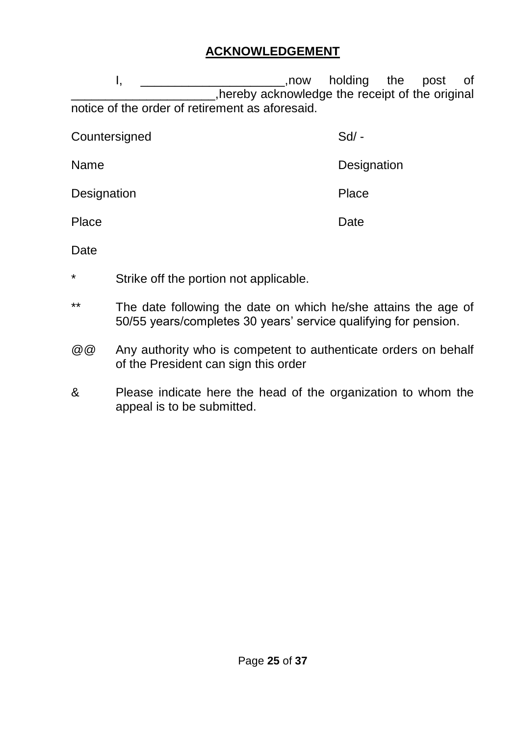## **ACKNOWLEDGEMENT**

I, the post of the post of \_\_\_\_\_\_\_\_\_\_\_\_\_\_\_\_\_\_\_\_\_,hereby acknowledge the receipt of the original notice of the order of retirement as aforesaid.

| Countersigned | $Sd$ -      |
|---------------|-------------|
| Name          | Designation |
| Designation   | Place       |
| Place         | Date        |

**Date** 

- \* Strike off the portion not applicable.
- \*\* The date following the date on which he/she attains the age of 50/55 years/completes 30 years" service qualifying for pension.
- @@ Any authority who is competent to authenticate orders on behalf of the President can sign this order
- & Please indicate here the head of the organization to whom the appeal is to be submitted.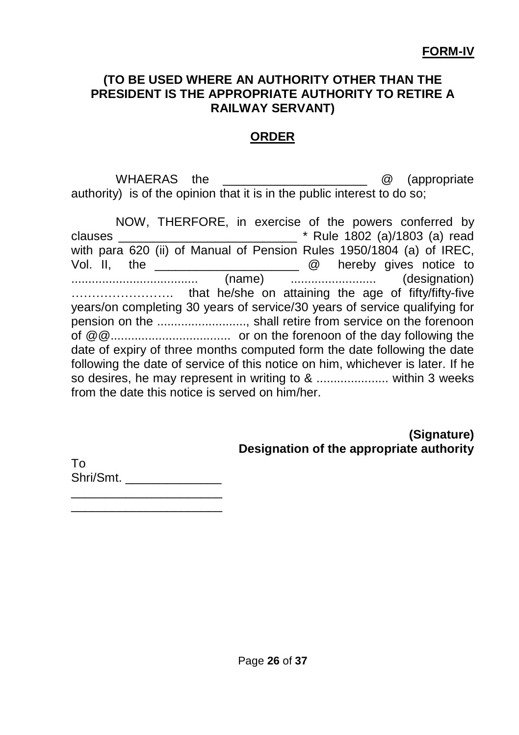#### **(TO BE USED WHERE AN AUTHORITY OTHER THAN THE PRESIDENT IS THE APPROPRIATE AUTHORITY TO RETIRE A RAILWAY SERVANT)**

#### **ORDER**

WHAERAS the  $\qquad \qquad \textcircled{2}$  (appropriate authority) is of the opinion that it is in the public interest to do so;

NOW, THERFORE, in exercise of the powers conferred by clauses \_\_\_\_\_\_\_\_\_\_\_\_\_\_\_\_\_\_\_\_\_\_\_\_\_\_ \* Rule 1802 (a)/1803 (a) read with para 620 (ii) of Manual of Pension Rules 1950/1804 (a) of IREC, Vol. II, the \_\_\_\_\_\_\_\_\_\_\_\_\_\_\_\_\_\_\_\_\_ @ hereby gives notice to ..................................... (name) ......................... (designation) ……………………. that he/she on attaining the age of fifty/fifty-five years/on completing 30 years of service/30 years of service qualifying for pension on the .........................., shall retire from service on the forenoon of @@................................... or on the forenoon of the day following the date of expiry of three months computed form the date following the date following the date of service of this notice on him, whichever is later. If he so desires, he may represent in writing to & ........................... within 3 weeks from the date this notice is served on him/her.

> **(Signature) Designation of the appropriate authority**

To Shri/Smt. \_\_\_\_\_\_\_\_\_\_\_\_\_\_

\_\_\_\_\_\_\_\_\_\_\_\_\_\_\_\_\_\_\_\_\_\_ \_\_\_\_\_\_\_\_\_\_\_\_\_\_\_\_\_\_\_\_\_\_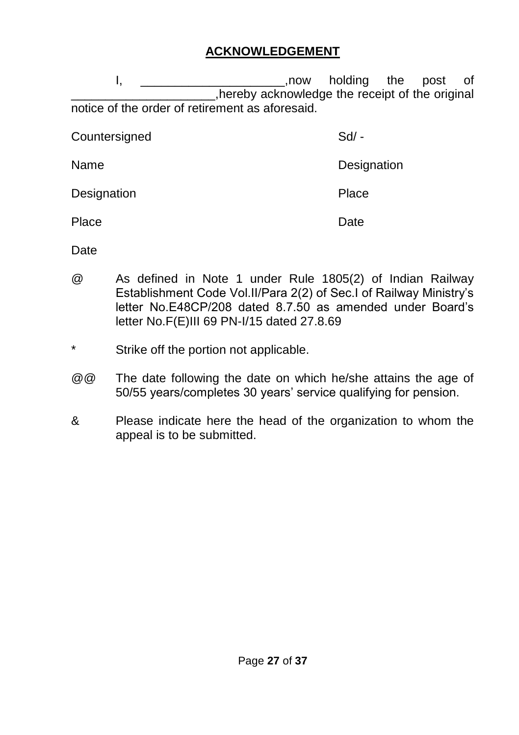## **ACKNOWLEDGEMENT**

I, the post of the post of .hereby acknowledge the receipt of the original notice of the order of retirement as aforesaid.

Countersigned Sd/ -Name **Name** Designation Designation **Place** Place Date Date

**Date** 

- @ As defined in Note 1 under Rule 1805(2) of Indian Railway Establishment Code Vol.II/Para 2(2) of Sec.I of Railway Ministry"s letter No.E48CP/208 dated 8.7.50 as amended under Board"s letter No.F(E)III 69 PN-I/15 dated 27.8.69
- Strike off the portion not applicable.
- @@ The date following the date on which he/she attains the age of 50/55 years/completes 30 years" service qualifying for pension.
- & Please indicate here the head of the organization to whom the appeal is to be submitted.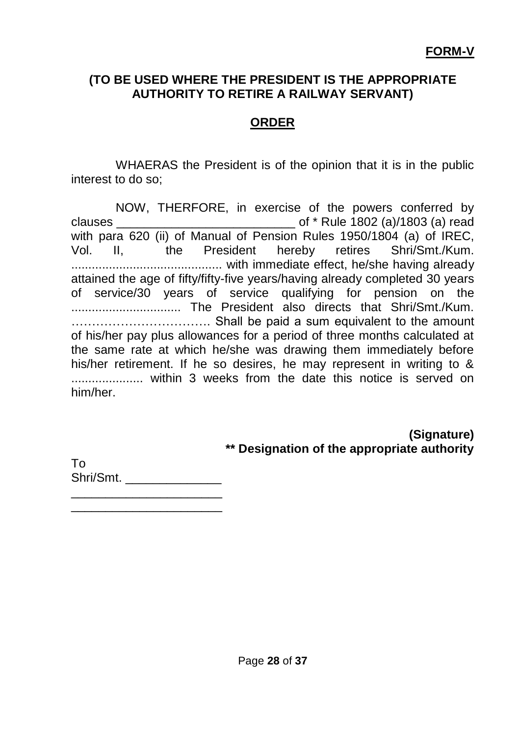#### **(TO BE USED WHERE THE PRESIDENT IS THE APPROPRIATE AUTHORITY TO RETIRE A RAILWAY SERVANT)**

# **ORDER**

WHAERAS the President is of the opinion that it is in the public interest to do so;

NOW, THERFORE, in exercise of the powers conferred by clauses \_\_\_\_\_\_\_\_\_\_\_\_\_\_\_\_\_\_\_\_\_\_\_\_\_\_ of \* Rule 1802 (a)/1803 (a) read with para 620 (ii) of Manual of Pension Rules 1950/1804 (a) of IREC, Vol. II, the President hereby retires Shri/Smt./Kum. ............................................ with immediate effect, he/she having already attained the age of fifty/fifty-five years/having already completed 30 years of service/30 years of service qualifying for pension on the ................................ The President also directs that Shri/Smt./Kum. ……………………………. Shall be paid a sum equivalent to the amount of his/her pay plus allowances for a period of three months calculated at the same rate at which he/she was drawing them immediately before his/her retirement. If he so desires, he may represent in writing to & ..................... within 3 weeks from the date this notice is served on him/her.

> **(Signature) \*\* Designation of the appropriate authority**

To Shri/Smt. \_\_\_\_\_\_\_\_\_\_\_\_\_\_ \_\_\_\_\_\_\_\_\_\_\_\_\_\_\_\_\_\_\_\_\_\_

\_\_\_\_\_\_\_\_\_\_\_\_\_\_\_\_\_\_\_\_\_\_

Page **28** of **37**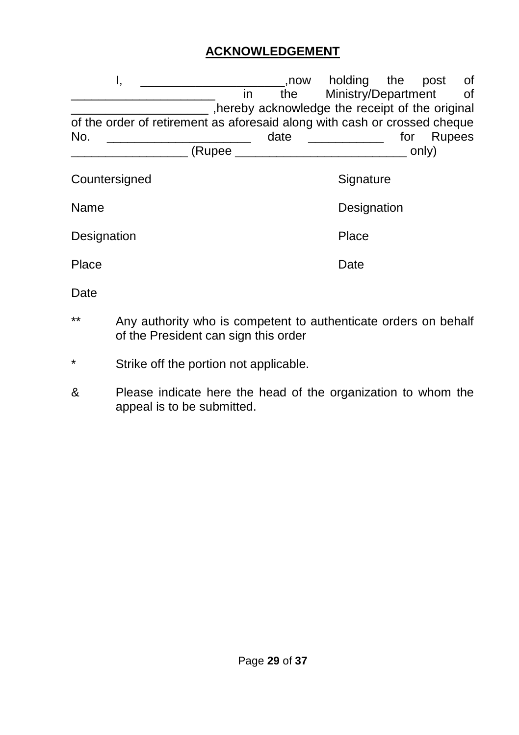## **ACKNOWLEDGEMENT**

| ι,                                                                        |          | .now | holding                                        | the | post   | оf |
|---------------------------------------------------------------------------|----------|------|------------------------------------------------|-----|--------|----|
|                                                                           | in       | the  | Ministry/Department                            |     |        | of |
|                                                                           |          |      | hereby acknowledge the receipt of the original |     |        |    |
| of the order of retirement as aforesaid along with cash or crossed cheque |          |      |                                                |     |        |    |
| No.                                                                       |          | date |                                                | for | Rupees |    |
|                                                                           | (Rupee _ |      |                                                |     | only)  |    |
| Countersigned                                                             |          |      | Signature                                      |     |        |    |
| Name                                                                      |          |      | Designation                                    |     |        |    |
| Designation                                                               |          |      | Place                                          |     |        |    |
| Place                                                                     |          |      | Date                                           |     |        |    |

Date

- \*\* Any authority who is competent to authenticate orders on behalf of the President can sign this order
- \* Strike off the portion not applicable.
- & Please indicate here the head of the organization to whom the appeal is to be submitted.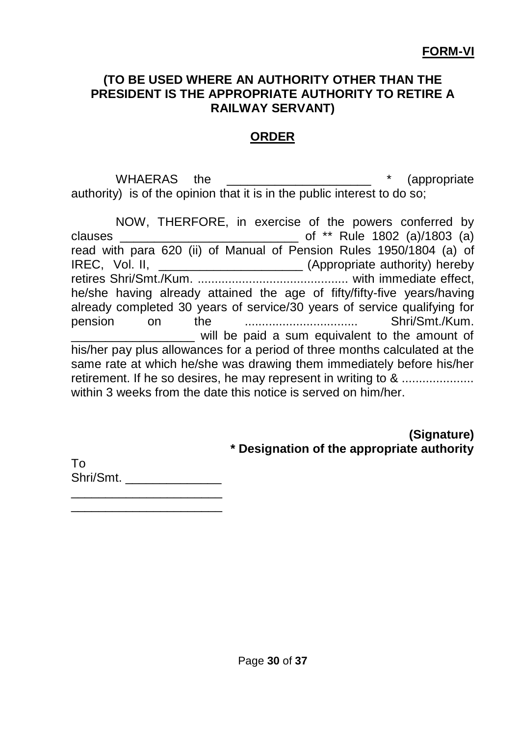#### **(TO BE USED WHERE AN AUTHORITY OTHER THAN THE PRESIDENT IS THE APPROPRIATE AUTHORITY TO RETIRE A RAILWAY SERVANT)**

## **ORDER**

WHAERAS the  $*$  (appropriate authority) is of the opinion that it is in the public interest to do so;

NOW, THERFORE, in exercise of the powers conferred by<br>clauses of \*\* Rule 1802 (a)/1803 (a)  $\frac{1}{2}$  of \*\* Rule 1802 (a)/1803 (a) read with para 620 (ii) of Manual of Pension Rules 1950/1804 (a) of IREC, Vol. II, \_\_\_\_\_\_\_\_\_\_\_\_\_\_\_\_\_\_\_\_\_\_\_\_\_\_ (Appropriate authority) hereby retires Shri/Smt./Kum. ............................................ with immediate effect, he/she having already attained the age of fifty/fifty-five years/having already completed 30 years of service/30 years of service qualifying for pension on the ................................. Shri/Smt./Kum. will be paid a sum equivalent to the amount of his/her pay plus allowances for a period of three months calculated at the same rate at which he/she was drawing them immediately before his/her retirement. If he so desires, he may represent in writing to & ..................... within 3 weeks from the date this notice is served on him/her

> **(Signature) \* Designation of the appropriate authority**

To Shri/Smt. \_\_\_\_\_\_\_\_\_\_\_\_\_\_

\_\_\_\_\_\_\_\_\_\_\_\_\_\_\_\_\_\_\_\_\_\_ \_\_\_\_\_\_\_\_\_\_\_\_\_\_\_\_\_\_\_\_\_\_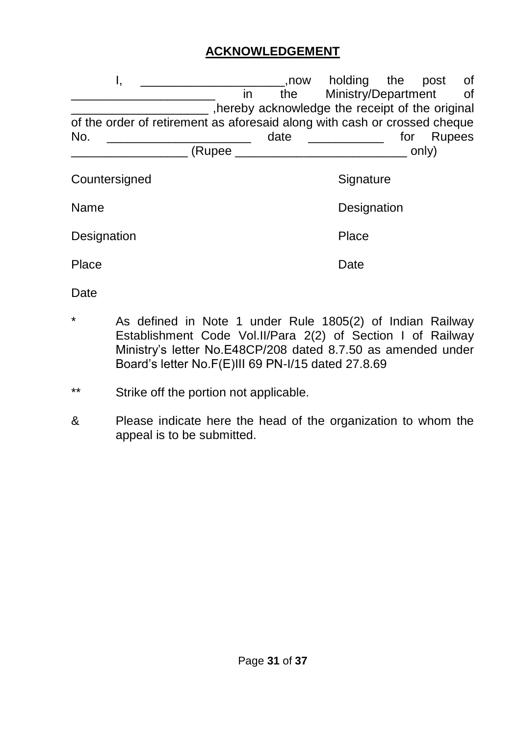## **ACKNOWLEDGEMENT**

| ι,                                                                        | .now | holding the                                      |     | post          | οf |
|---------------------------------------------------------------------------|------|--------------------------------------------------|-----|---------------|----|
| in                                                                        | the  | Ministry/Department                              |     |               | of |
|                                                                           |      | , hereby acknowledge the receipt of the original |     |               |    |
| of the order of retirement as aforesaid along with cash or crossed cheque |      |                                                  |     |               |    |
| No.                                                                       | date |                                                  | for | <b>Rupees</b> |    |
| (Rupee _                                                                  |      |                                                  |     | only)         |    |
| Countersigned                                                             |      | Signature                                        |     |               |    |
| Name                                                                      |      | Designation                                      |     |               |    |
| Designation                                                               |      | Place                                            |     |               |    |
|                                                                           |      |                                                  |     |               |    |

Date

- As defined in Note 1 under Rule 1805(2) of Indian Railway Establishment Code Vol.II/Para 2(2) of Section I of Railway Ministry"s letter No.E48CP/208 dated 8.7.50 as amended under Board"s letter No.F(E)III 69 PN-I/15 dated 27.8.69
- \*\* Strike off the portion not applicable.

Place Date Date

& Please indicate here the head of the organization to whom the appeal is to be submitted.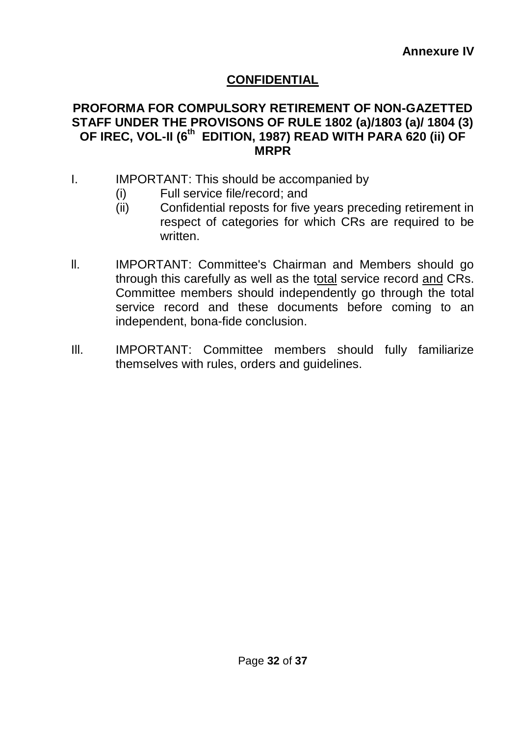# **CONFIDENTIAL**

#### **PROFORMA FOR COMPULSORY RETIREMENT OF NON-GAZETTED STAFF UNDER THE PROVISONS OF RULE 1802 (a)/1803 (a)/ 1804 (3) OF IREC, VOL-II (6th EDITION, 1987) READ WITH PARA 620 (ii) OF MRPR**

- I. IMPORTANT: This should be accompanied by
	- (i) Full service file/record; and
	- (ii) Confidential reposts for five years preceding retirement in respect of categories for which CRs are required to be written.
- ll. IMPORTANT: Committee's Chairman and Members should go through this carefully as well as the total service record and CRs. Committee members should independently go through the total service record and these documents before coming to an independent, bona-fide conclusion.
- III. IMPORTANT: Committee members should fully familiarize themselves with rules, orders and guidelines.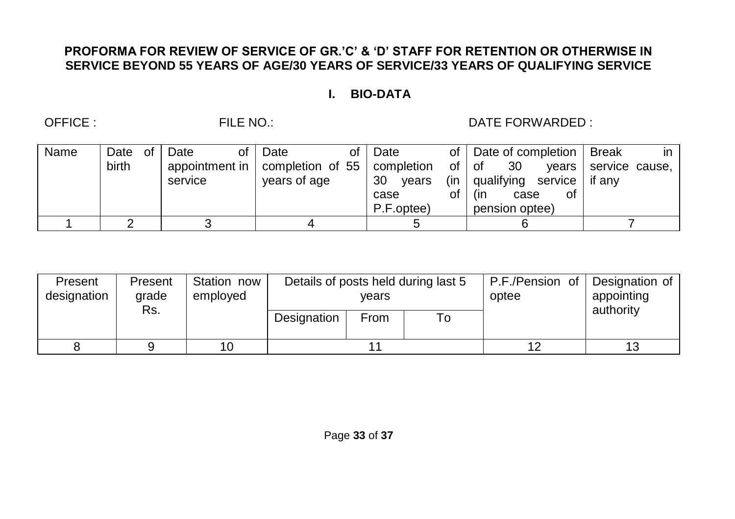#### **PROFORMA FOR REVIEW OF SERVICE OF GR.'C' & 'D' STAFF FOR RETENTION OR OTHERWISE IN SERVICE BEYOND 55 YEARS OF AGE/30 YEARS OF SERVICE/33 YEARS OF QUALIFYING SERVICE**

#### **I. BIO-DATA**

OFFICE : FILE NO.: DATE FORWARDED :

| Name | Date  | of | οf<br>Date     | Date<br>of l                  | Date        |     | of   Date of completion | Break<br>in -  |
|------|-------|----|----------------|-------------------------------|-------------|-----|-------------------------|----------------|
|      | birth |    | appointment in | completion of 55   completion |             |     | -30<br>of I of<br>vears | service cause, |
|      |       |    | service        | years of age                  | 30<br>vears | (in | qualifying<br>service   | if anv         |
|      |       |    |                |                               | case        | оt  | (in<br>οf<br>case       |                |
|      |       |    |                |                               | P.F.optee)  |     | pension optee)          |                |
|      |       |    |                |                               |             |     |                         |                |

| Present<br>designation | Present<br>arade<br>Rs. | Station now<br>employed | Details of posts held during last 5<br>vears |      |  | P.F./Pension of<br>optee | Designation of<br>appointing<br>authority |
|------------------------|-------------------------|-------------------------|----------------------------------------------|------|--|--------------------------|-------------------------------------------|
|                        |                         |                         | Designation                                  | From |  |                          |                                           |
|                        |                         | 10                      |                                              |      |  |                          |                                           |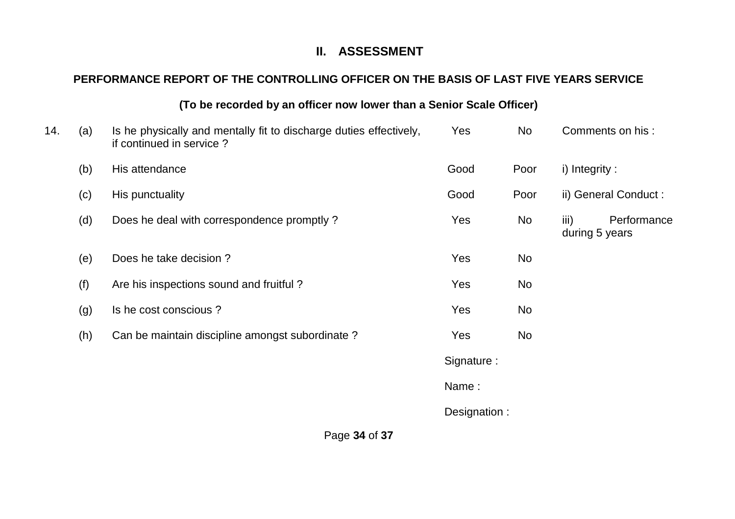#### **II. ASSESSMENT**

# **PERFORMANCE REPORT OF THE CONTROLLING OFFICER ON THE BASIS OF LAST FIVE YEARS SERVICE**

#### **(To be recorded by an officer now lower than a Senior Scale Officer)**

| 14. | (a) | Is he physically and mentally fit to discharge duties effectively,<br>if continued in service? | Yes          | No   |                        | Comments on his:      |
|-----|-----|------------------------------------------------------------------------------------------------|--------------|------|------------------------|-----------------------|
|     | (b) | His attendance                                                                                 | Good         | Poor | i) Integrity:          |                       |
|     | (c) | His punctuality                                                                                | Good         | Poor |                        | ii) General Conduct : |
|     | (d) | Does he deal with correspondence promptly ?                                                    | Yes          | No   | iii)<br>during 5 years | Performance           |
|     | (e) | Does he take decision?                                                                         | Yes          | No   |                        |                       |
|     | (f) | Are his inspections sound and fruitful?                                                        | Yes          | No   |                        |                       |
|     | (g) | Is he cost conscious?                                                                          | Yes          | No   |                        |                       |
|     | (h) | Can be maintain discipline amongst subordinate?                                                | Yes          | No   |                        |                       |
|     |     |                                                                                                | Signature:   |      |                        |                       |
|     |     |                                                                                                | Name:        |      |                        |                       |
|     |     |                                                                                                | Designation: |      |                        |                       |
|     |     |                                                                                                |              |      |                        |                       |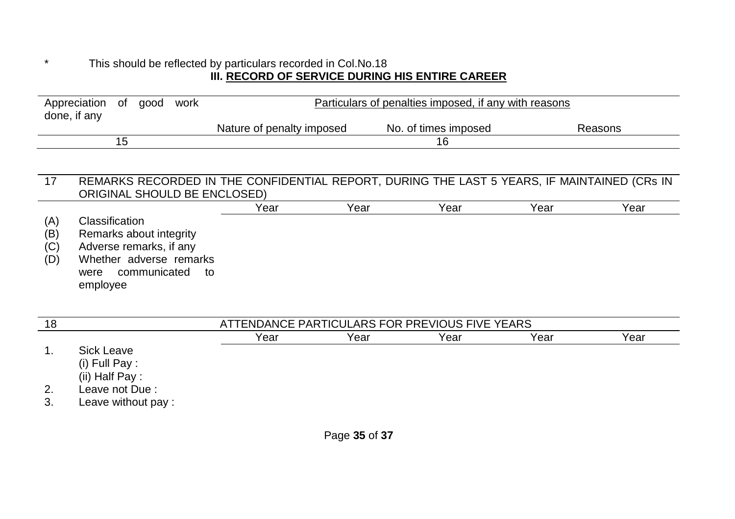#### \* This should be reflected by particulars recorded in Col.No.18 **III. RECORD OF SERVICE DURING HIS ENTIRE CAREER**

| Appreciation of good |     | work | Particulars of penalties imposed, if any with reasons |                      |         |
|----------------------|-----|------|-------------------------------------------------------|----------------------|---------|
| done, if any         |     |      |                                                       | No. of times imposed |         |
|                      |     |      | Nature of penalty imposed                             |                      | Reasons |
|                      | כ ו |      |                                                       | 16                   |         |

#### 17 REMARKS RECORDED IN THE CONFIDENTIAL REPORT, DURING THE LAST 5 YEARS, IF MAINTAINED (CRs IN ORIGINAL SHOULD BE ENCLOSED)

|     | _______________________    |      |      |      |      |      |
|-----|----------------------------|------|------|------|------|------|
|     |                            | Year | Year | Year | Year | Year |
| (A) | Classification             |      |      |      |      |      |
| (B) | Remarks about integrity    |      |      |      |      |      |
| (C) | Adverse remarks, if any    |      |      |      |      |      |
| (D) | Whether adverse remarks    |      |      |      |      |      |
|     | communicated<br>were<br>to |      |      |      |      |      |
|     | employee                   |      |      |      |      |      |
|     |                            |      |      |      |      |      |

| 18       | ATTENDANCE PARTICULARS FOR PREVIOUS FIVE YEARS |      |      |      |      |      |
|----------|------------------------------------------------|------|------|------|------|------|
|          |                                                | Year | Year | Year | Year | Year |
|          | Sick Leave<br>(i) Full Pay :<br>(ii) Half Pay: |      |      |      |      |      |
| 2.<br>3. | Leave not Due:<br>Leave without pay:           |      |      |      |      |      |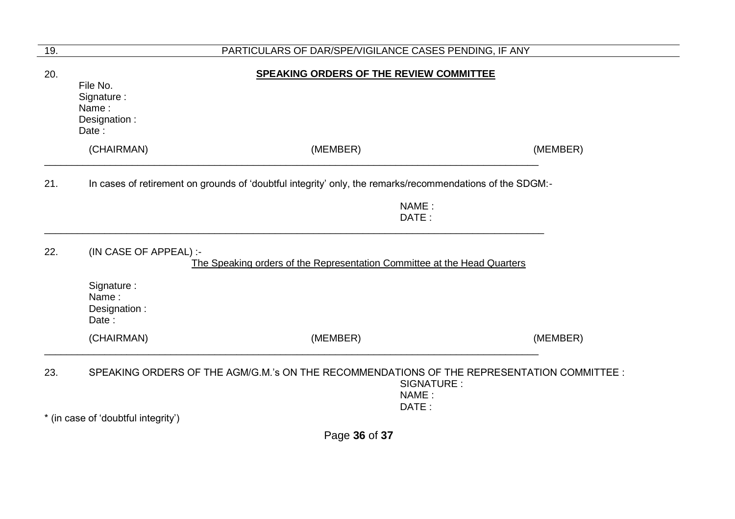| 19. | PARTICULARS OF DAR/SPE/VIGILANCE CASES PENDING, IF ANY                                                                      |                                         |          |  |  |  |
|-----|-----------------------------------------------------------------------------------------------------------------------------|-----------------------------------------|----------|--|--|--|
| 20. | File No.<br>Signature:<br>Name:<br>Designation:<br>Date:                                                                    | SPEAKING ORDERS OF THE REVIEW COMMITTEE |          |  |  |  |
|     | (CHAIRMAN)                                                                                                                  | (MEMBER)                                | (MEMBER) |  |  |  |
| 21. | In cases of retirement on grounds of 'doubtful integrity' only, the remarks/recommendations of the SDGM:-<br>NAME:<br>DATE: |                                         |          |  |  |  |
| 22. | (IN CASE OF APPEAL) :-<br>The Speaking orders of the Representation Committee at the Head Quarters                          |                                         |          |  |  |  |
|     | Signature:<br>Name:<br>Designation:<br>Date:                                                                                |                                         |          |  |  |  |
|     | (CHAIRMAN)                                                                                                                  | (MEMBER)                                | (MEMBER) |  |  |  |
| 23. | SPEAKING ORDERS OF THE AGM/G.M.'s ON THE RECOMMENDATIONS OF THE REPRESENTATION COMMITTEE :<br>SIGNATURE:<br>NAME:<br>DATE:  |                                         |          |  |  |  |
|     | * (in case of 'doubtful integrity')                                                                                         |                                         |          |  |  |  |